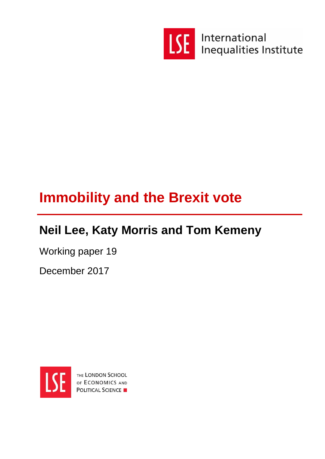

International **Inequalities Institute** 

# **Immobility and the Brexit vote**

# **Neil Lee, Katy Morris and Tom Kemeny**

Working paper 19

December 2017



THE LONDON SCHOOL OF ECONOMICS AND **POLITICAL SCIENCE**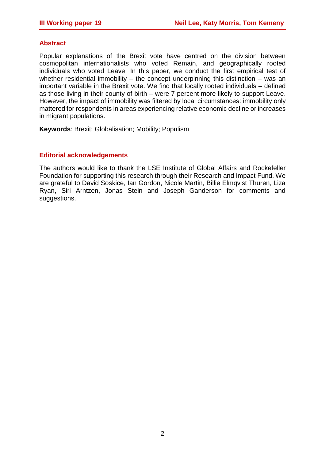#### **Abstract**

.

Popular explanations of the Brexit vote have centred on the division between cosmopolitan internationalists who voted Remain, and geographically rooted individuals who voted Leave. In this paper, we conduct the first empirical test of whether residential immobility  $-$  the concept underpinning this distinction  $-$  was an important variable in the Brexit vote. We find that locally rooted individuals – defined as those living in their county of birth – were 7 percent more likely to support Leave. However, the impact of immobility was filtered by local circumstances: immobility only mattered for respondents in areas experiencing relative economic decline or increases in migrant populations.

**Keywords**: Brexit; Globalisation; Mobility; Populism

#### **Editorial acknowledgements**

The authors would like to thank the LSE Institute of Global Affairs and Rockefeller Foundation for supporting this research through their Research and Impact Fund. We are grateful to David Soskice, Ian Gordon, Nicole Martin, Billie Elmqvist Thuren, Liza Ryan, Siri Arntzen, Jonas Stein and Joseph Ganderson for comments and suggestions.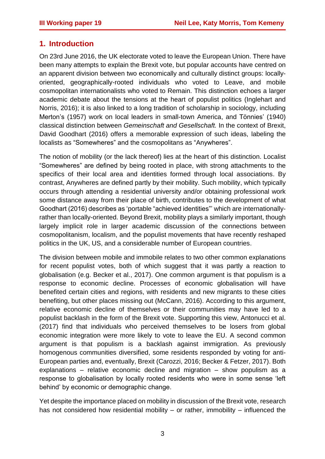## **1. Introduction**

On 23rd June 2016, the UK electorate voted to leave the European Union. There have been many attempts to explain the Brexit vote, but popular accounts have centred on an apparent division between two economically and culturally distinct groups: locallyoriented, geographically-rooted individuals who voted to Leave, and mobile cosmopolitan internationalists who voted to Remain. This distinction echoes a larger academic debate about the tensions at the heart of populist politics (Inglehart and Norris, 2016); it is also linked to a long tradition of scholarship in sociology, including Merton's (1957) work on local leaders in small-town America, and Tönnies' (1940) classical distinction between *Gemeinschaft and Gesellschaft.* In the context of Brexit, David Goodhart (2016) offers a memorable expression of such ideas, labeling the localists as "Somewheres" and the cosmopolitans as "Anywheres".

The notion of mobility (or the lack thereof) lies at the heart of this distinction. Localist "Somewheres" are defined by being rooted in place, with strong attachments to the specifics of their local area and identities formed through local associations. By contrast, Anywheres are defined partly by their mobility. Such mobility, which typically occurs through attending a residential university and/or obtaining professional work some distance away from their place of birth, contributes to the development of what Goodhart (2016) describes as 'portable "achieved identities"' which are internationallyrather than locally-oriented. Beyond Brexit, mobility plays a similarly important, though largely implicit role in larger academic discussion of the connections between cosmopolitanism, localism, and the populist movements that have recently reshaped politics in the UK, US, and a considerable number of European countries.

The division between mobile and immobile relates to two other common explanations for recent populist votes, both of which suggest that it was partly a reaction to globalisation (e.g. Becker et al., 2017). One common argument is that populism is a response to economic decline. Processes of economic globalisation will have benefited certain cities and regions, with residents and new migrants to these cities benefiting, but other places missing out (McCann, 2016). According to this argument, relative economic decline of themselves or their communities may have led to a populist backlash in the form of the Brexit vote. Supporting this view, Antonucci et al. (2017) find that individuals who perceived themselves to be losers from global economic integration were more likely to vote to leave the EU. A second common argument is that populism is a backlash against immigration. As previously homogenous communities diversified, some residents responded by voting for anti-European parties and, eventually, Brexit (Carozzi, 2016; Becker & Fetzer, 2017). Both explanations – relative economic decline and migration – show populism as a response to globalisation by locally rooted residents who were in some sense 'left behind' by economic or demographic change.

Yet despite the importance placed on mobility in discussion of the Brexit vote, research has not considered how residential mobility – or rather, immobility – influenced the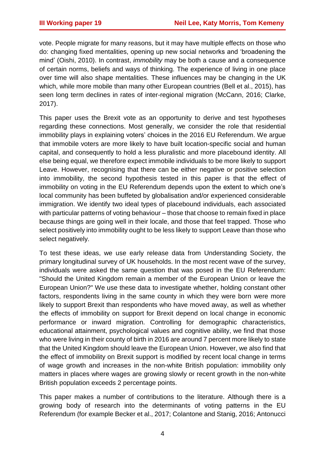vote. People migrate for many reasons, but it may have multiple effects on those who do: changing fixed mentalities, opening up new social networks and 'broadening the mind' (Oishi, 2010). In contrast, *immobility* may be both a cause and a consequence of certain norms, beliefs and ways of thinking. The experience of living in one place over time will also shape mentalities. These influences may be changing in the UK which, while more mobile than many other European countries (Bell et al., 2015), has seen long term declines in rates of inter-regional migration (McCann, 2016; Clarke, 2017).

This paper uses the Brexit vote as an opportunity to derive and test hypotheses regarding these connections. Most generally, we consider the role that residential immobility plays in explaining voters' choices in the 2016 EU Referendum. We argue that immobile voters are more likely to have built location-specific social and human capital, and consequently to hold a less pluralistic and more placebound identity. All else being equal, we therefore expect immobile individuals to be more likely to support Leave. However, recognising that there can be either negative or positive selection into immobility, the second hypothesis tested in this paper is that the effect of immobility on voting in the EU Referendum depends upon the extent to which one's local community has been buffeted by globalisation and/or experienced considerable immigration. We identify two ideal types of placebound individuals, each associated with particular patterns of voting behaviour – those that choose to remain fixed in place because things are going well in their locale, and those that feel trapped. Those who select positively into immobility ought to be less likely to support Leave than those who select negatively.

To test these ideas, we use early release data from Understanding Society, the primary longitudinal survey of UK households. In the most recent wave of the survey, individuals were asked the same question that was posed in the EU Referendum: "Should the United Kingdom remain a member of the European Union or leave the European Union?" We use these data to investigate whether, holding constant other factors, respondents living in the same county in which they were born were more likely to support Brexit than respondents who have moved away, as well as whether the effects of immobility on support for Brexit depend on local change in economic performance or inward migration. Controlling for demographic characteristics, educational attainment, psychological values and cognitive ability, we find that those who were living in their county of birth in 2016 are around 7 percent more likely to state that the United Kingdom should leave the European Union. However, we also find that the effect of immobility on Brexit support is modified by recent local change in terms of wage growth and increases in the non-white British population: immobility only matters in places where wages are growing slowly or recent growth in the non-white British population exceeds 2 percentage points.

This paper makes a number of contributions to the literature. Although there is a growing body of research into the determinants of voting patterns in the EU Referendum (for example Becker et al., 2017; Colantone and Stanig, 2016; Antonucci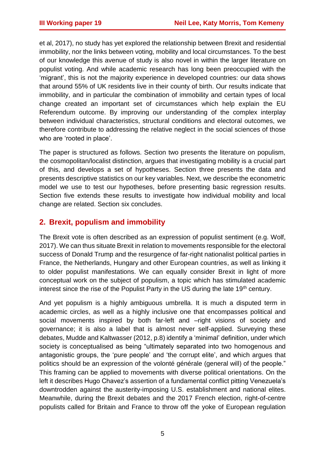et al, 2017), no study has yet explored the relationship between Brexit and residential immobility, nor the links between voting, mobility and local circumstances. To the best of our knowledge this avenue of study is also novel in within the larger literature on populist voting. And while academic research has long been preoccupied with the 'migrant', this is not the majority experience in developed countries: our data shows that around 55% of UK residents live in their county of birth. Our results indicate that immobility, and in particular the combination of immobility and certain types of local change created an important set of circumstances which help explain the EU Referendum outcome. By improving our understanding of the complex interplay between individual characteristics, structural conditions and electoral outcomes, we therefore contribute to addressing the relative neglect in the social sciences of those who are 'rooted in place'.

The paper is structured as follows. Section two presents the literature on populism, the cosmopolitan/localist distinction, argues that investigating mobility is a crucial part of this, and develops a set of hypotheses. Section three presents the data and presents descriptive statistics on our key variables. Next, we describe the econometric model we use to test our hypotheses, before presenting basic regression results. Section five extends these results to investigate how individual mobility and local change are related. Section six concludes.

## **2. Brexit, populism and immobility**

The Brexit vote is often described as an expression of populist sentiment (e.g. Wolf, 2017). We can thus situate Brexit in relation to movements responsible for the electoral success of Donald Trump and the resurgence of far-right nationalist political parties in France, the Netherlands, Hungary and other European countries, as well as linking it to older populist manifestations. We can equally consider Brexit in light of more conceptual work on the subject of populism, a topic which has stimulated academic interest since the rise of the Populist Party in the US during the late 19<sup>th</sup> century.

And yet populism is a highly ambiguous umbrella. It is much a disputed term in academic circles, as well as a highly inclusive one that encompasses political and social movements inspired by both far-left and –right visions of society and governance; it is also a label that is almost never self-applied. Surveying these debates, Mudde and Kaltwasser (2012, p.8) identify a 'minimal' definition, under which society is conceptualised as being "ultimately separated into two homogenous and antagonistic groups, the 'pure people' and 'the corrupt elite', and which argues that politics should be an expression of the volonté générale (general will) of the people." This framing can be applied to movements with diverse political orientations. On the left it describes Hugo Chavez's assertion of a fundamental conflict pitting Venezuela's downtrodden against the austerity-imposing U.S. establishment and national elites. Meanwhile, during the Brexit debates and the 2017 French election, right-of-centre populists called for Britain and France to throw off the yoke of European regulation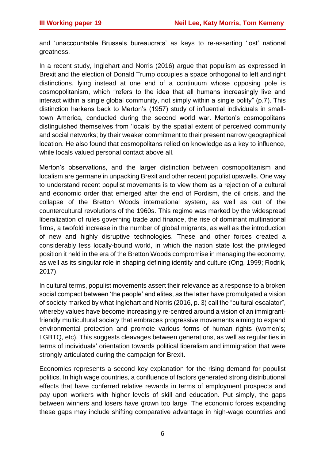and 'unaccountable Brussels bureaucrats' as keys to re-asserting 'lost' national greatness.

In a recent study, Inglehart and Norris (2016) argue that populism as expressed in Brexit and the election of Donald Trump occupies a space orthogonal to left and right distinctions, lying instead at one end of a continuum whose opposing pole is cosmopolitanism, which "refers to the idea that all humans increasingly live and interact within a single global community, not simply within a single polity" (p.7). This distinction harkens back to Merton's (1957) study of influential individuals in smalltown America, conducted during the second world war. Merton's cosmopolitans distinguished themselves from 'locals' by the spatial extent of perceived community and social networks; by their weaker commitment to their present narrow geographical location. He also found that cosmopolitans relied on knowledge as a key to influence, while locals valued personal contact above all.

Merton's observations, and the larger distinction between cosmopolitanism and localism are germane in unpacking Brexit and other recent populist upswells. One way to understand recent populist movements is to view them as a rejection of a cultural and economic order that emerged after the end of Fordism, the oil crisis, and the collapse of the Bretton Woods international system, as well as out of the countercultural revolutions of the 1960s. This regime was marked by the widespread liberalization of rules governing trade and finance, the rise of dominant multinational firms, a twofold increase in the number of global migrants, as well as the introduction of new and highly disruptive technologies. These and other forces created a considerably less locally-bound world, in which the nation state lost the privileged position it held in the era of the Bretton Woods compromise in managing the economy, as well as its singular role in shaping defining identity and culture (Ong, 1999; Rodrik, 2017).

In cultural terms, populist movements assert their relevance as a response to a broken social compact between 'the people' and elites, as the latter have promulgated a vision of society marked by what Inglehart and Norris (2016, p. 3) call the "cultural escalator", whereby values have become increasingly re-centred around a vision of an immigrantfriendly multicultural society that embraces progressive movements aiming to expand environmental protection and promote various forms of human rights (women's; LGBTQ, etc). This suggests cleavages between generations, as well as regularities in terms of individuals' orientation towards political liberalism and immigration that were strongly articulated during the campaign for Brexit.

Economics represents a second key explanation for the rising demand for populist politics. In high wage countries, a confluence of factors generated strong distributional effects that have conferred relative rewards in terms of employment prospects and pay upon workers with higher levels of skill and education. Put simply, the gaps between winners and losers have grown too large. The economic forces expanding these gaps may include shifting comparative advantage in high-wage countries and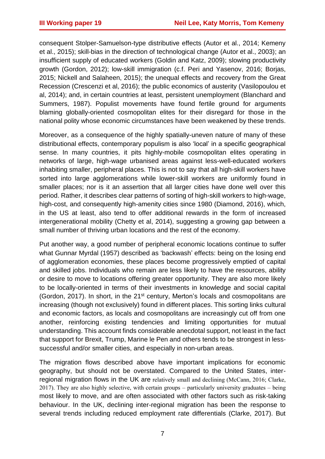consequent Stolper-Samuelson-type distributive effects (Autor et al., 2014; Kemeny et al., 2015); skill-bias in the direction of technological change (Autor et al., 2003); an insufficient supply of educated workers (Goldin and Katz, 2009); slowing productivity growth (Gordon, 2012); low-skill immigration (c.f. Peri and Yasenov, 2016; Borjas, 2015; Nickell and Salaheen, 2015); the unequal effects and recovery from the Great Recession (Crescenzi et al, 2016); the public economics of austerity (Vasilopoulou et al, 2014); and, in certain countries at least, persistent unemployment (Blanchard and Summers, 1987). Populist movements have found fertile ground for arguments blaming globally-oriented cosmopolitan elites for their disregard for those in the national polity whose economic circumstances have been weakened by these trends.

Moreover, as a consequence of the highly spatially-uneven nature of many of these distributional effects, contemporary populism is also 'local' in a specific geographical sense. In many countries, it pits highly-mobile cosmopolitan elites operating in networks of large, high-wage urbanised areas against less-well-educated workers inhabiting smaller, peripheral places. This is not to say that all high-skill workers have sorted into large agglomerations while lower-skill workers are uniformly found in smaller places; nor is it an assertion that all larger cities have done well over this period. Rather, it describes clear patterns of sorting of high-skill workers to high-wage, high-cost, and consequently high-amenity cities since 1980 (Diamond, 2016), which, in the US at least, also tend to offer additional rewards in the form of increased intergenerational mobility (Chetty et al, 2014), suggesting a growing gap between a small number of thriving urban locations and the rest of the economy.

Put another way, a good number of peripheral economic locations continue to suffer what Gunnar Myrdal (1957) described as 'backwash' effects: being on the losing end of agglomeration economies, these places become progressively emptied of capital and skilled jobs. Individuals who remain are less likely to have the resources, ability or desire to move to locations offering greater opportunity. They are also more likely to be locally-oriented in terms of their investments in knowledge and social capital (Gordon, 2017). In short, in the 21<sup>st</sup> century, Merton's locals and cosmopolitans are increasing (though not exclusively) found in different places. This sorting links cultural and economic factors, as locals and cosmopolitans are increasingly cut off from one another, reinforcing existing tendencies and limiting opportunities for mutual understanding. This account finds considerable anecdotal support, not least in the fact that support for Brexit, Trump, Marine le Pen and others tends to be strongest in lesssuccessful and/or smaller cities, and especially in non-urban areas.

The migration flows described above have important implications for economic geography, but should not be overstated. Compared to the United States, interregional migration flows in the UK are relatively small and declining (McCann, 2016; Clarke, 2017). They are also highly selective, with certain groups – particularly university graduates – being most likely to move, and are often associated with other factors such as risk-taking behaviour. In the UK, declining inter-regional migration has been the response to several trends including reduced employment rate differentials (Clarke, 2017). But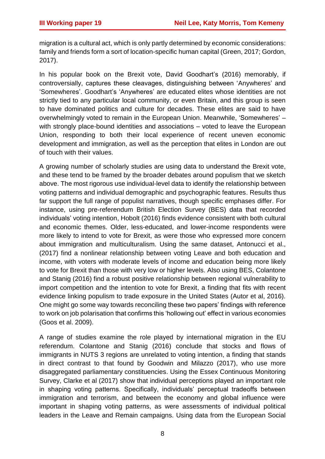migration is a cultural act, which is only partly determined by economic considerations: family and friends form a sort of location-specific human capital (Green, 2017; Gordon, 2017).

In his popular book on the Brexit vote, David Goodhart's (2016) memorably, if controversially, captures these cleavages, distinguishing between 'Anywheres' and 'Somewheres'. Goodhart's 'Anywheres' are educated elites whose identities are not strictly tied to any particular local community, or even Britain, and this group is seen to have dominated politics and culture for decades. These elites are said to have overwhelmingly voted to remain in the European Union. Meanwhile, 'Somewheres' – with strongly place-bound identities and associations – voted to leave the European Union, responding to both their local experience of recent uneven economic development and immigration, as well as the perception that elites in London are out of touch with their values.

A growing number of scholarly studies are using data to understand the Brexit vote, and these tend to be framed by the broader debates around populism that we sketch above. The most rigorous use individual-level data to identify the relationship between voting patterns and individual demographic and psychographic features. Results thus far support the full range of populist narratives, though specific emphases differ. For instance, using pre-referendum British Election Survey (BES) data that recorded individuals' voting intention, Hobolt (2016) finds evidence consistent with both cultural and economic themes. Older, less-educated, and lower-income respondents were more likely to intend to vote for Brexit, as were those who expressed more concern about immigration and multiculturalism. Using the same dataset, Antonucci et al., (2017) find a nonlinear relationship between voting Leave and both education and income, with voters with moderate levels of income and education being more likely to vote for Brexit than those with very low or higher levels. Also using BES, Colantone and Stanig (2016) find a robust positive relationship between regional vulnerability to import competition and the intention to vote for Brexit, a finding that fits with recent evidence linking populism to trade exposure in the United States (Autor et al, 2016). One might go some way towards reconciling these two papers' findings with reference to work on job polarisation that confirms this 'hollowing out' effect in various economies (Goos et al. 2009).

A range of studies examine the role played by international migration in the EU referendum. Colantone and Stanig (2016) conclude that stocks and flows of immigrants in NUTS 3 regions are unrelated to voting intention, a finding that stands in direct contrast to that found by Goodwin and Milazzo (2017), who use more disaggregated parliamentary constituencies. Using the Essex Continuous Monitoring Survey, Clarke et al (2017) show that individual perceptions played an important role in shaping voting patterns. Specifically, individuals' perceptual tradeoffs between immigration and terrorism, and between the economy and global influence were important in shaping voting patterns, as were assessments of individual political leaders in the Leave and Remain campaigns. Using data from the European Social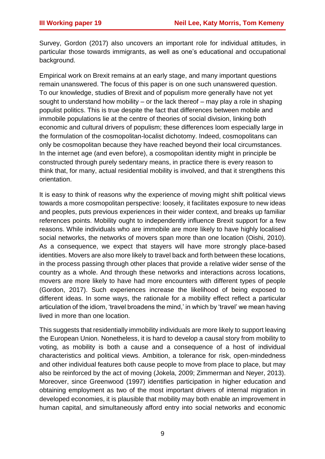Survey, Gordon (2017) also uncovers an important role for individual attitudes, in particular those towards immigrants, as well as one's educational and occupational background.

Empirical work on Brexit remains at an early stage, and many important questions remain unanswered. The focus of this paper is on one such unanswered question. To our knowledge, studies of Brexit and of populism more generally have not yet sought to understand how mobility – or the lack thereof – may play a role in shaping populist politics. This is true despite the fact that differences between mobile and immobile populations lie at the centre of theories of social division, linking both economic and cultural drivers of populism; these differences loom especially large in the formulation of the cosmopolitan-localist dichotomy. Indeed, cosmopolitans can only be cosmopolitan because they have reached beyond their local circumstances. In the internet age (and even before), a cosmopolitan identity might in principle be constructed through purely sedentary means, in practice there is every reason to think that, for many, actual residential mobility is involved, and that it strengthens this orientation.

It is easy to think of reasons why the experience of moving might shift political views towards a more cosmopolitan perspective: loosely, it facilitates exposure to new ideas and peoples, puts previous experiences in their wider context, and breaks up familiar references points. Mobility ought to independently influence Brexit support for a few reasons. While individuals who are immobile are more likely to have highly localised social networks, the networks of movers span more than one location (Oishi, 2010). As a consequence, we expect that stayers will have more strongly place-based identities. Movers are also more likely to travel back and forth between these locations, in the process passing through other places that provide a relative wider sense of the country as a whole. And through these networks and interactions across locations, movers are more likely to have had more encounters with different types of people (Gordon, 2017). Such experiences increase the likelihood of being exposed to different ideas. In some ways, the rationale for a mobility effect reflect a particular articulation of the idiom, 'travel broadens the mind,' in which by 'travel' we mean having lived in more than one location.

This suggests that residentially immobility individuals are more likely to support leaving the European Union. Nonetheless, it is hard to develop a causal story from mobility to voting, as mobility is both a cause and a consequence of a host of individual characteristics and political views. Ambition, a tolerance for risk, open-mindedness and other individual features both cause people to move from place to place, but may also be reinforced by the act of moving (Jokela, 2009; Zimmerman and Neyer, 2013). Moreover, since Greenwood (1997) identifies participation in higher education and obtaining employment as two of the most important drivers of internal migration in developed economies, it is plausible that mobility may both enable an improvement in human capital, and simultaneously afford entry into social networks and economic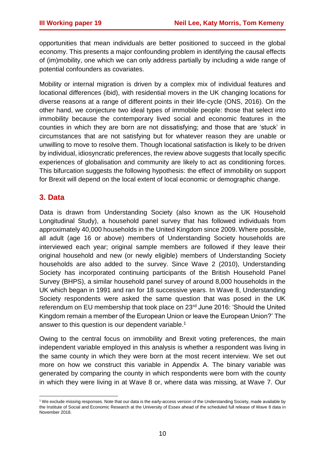opportunities that mean individuals are better positioned to succeed in the global economy. This presents a major confounding problem in identifying the causal effects of (im)mobility, one which we can only address partially by including a wide range of potential confounders as covariates.

Mobility or internal migration is driven by a complex mix of individual features and locational differences (ibid), with residential movers in the UK changing locations for diverse reasons at a range of different points in their life-cycle (ONS, 2016). On the other hand, we conjecture two ideal types of immobile people: those that select into immobility because the contemporary lived social and economic features in the counties in which they are born are not dissatisfying; and those that are 'stuck' in circumstances that are not satisfying but for whatever reason they are unable or unwilling to move to resolve them. Though locational satisfaction is likely to be driven by individual, idiosyncratic preferences, the review above suggests that locally specific experiences of globalisation and community are likely to act as conditioning forces. This bifurcation suggests the following hypothesis: the effect of immobility on support for Brexit will depend on the local extent of local economic or demographic change.

## **3. Data**

Data is drawn from Understanding Society (also known as the UK Household Longitudinal Study), a household panel survey that has followed individuals from approximately 40,000 households in the United Kingdom since 2009. Where possible, all adult (age 16 or above) members of Understanding Society households are interviewed each year; original sample members are followed if they leave their original household and new (or newly eligible) members of Understanding Society households are also added to the survey. Since Wave 2 (2010), Understanding Society has incorporated continuing participants of the British Household Panel Survey (BHPS), a similar household panel survey of around 8,000 households in the UK which began in 1991 and ran for 18 successive years. In Wave 8, Understanding Society respondents were asked the same question that was posed in the UK referendum on EU membership that took place on 23rd June 2016: 'Should the United Kingdom remain a member of the European Union or leave the European Union?' The answer to this question is our dependent variable.<sup>1</sup>

Owing to the central focus on immobility and Brexit voting preferences, the main independent variable employed in this analysis is whether a respondent was living in the same county in which they were born at the most recent interview. We set out more on how we construct this variable in Appendix A. The binary variable was generated by comparing the county in which respondents were born with the county in which they were living in at Wave 8 or, where data was missing, at Wave 7. Our

 $\overline{\phantom{a}}$ <sup>1</sup> We exclude missing responses. Note that our data is the early-access version of the Understanding Society, made available by the Institute of Social and Economic Research at the University of Essex ahead of the scheduled full release of Wave 8 data in November 2018.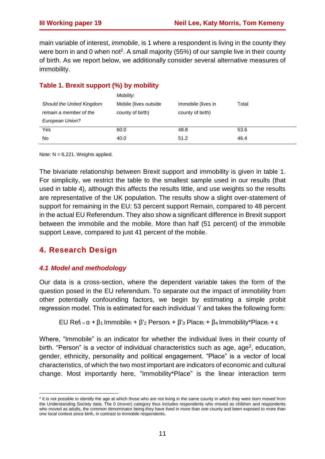main variable of interest, *immobile*, is 1 where a respondent is living in the county they were born in and 0 when not<sup>2</sup>. A small majority (55%) of our sample live in their county of birth. As we report below, we additionally consider several alternative measures of immobility.

## **Table 1. Brexit support (%) by mobility**

|                           | Mobility:              |                    |       |
|---------------------------|------------------------|--------------------|-------|
| Should the United Kingdom | Mobile (lives outside) | Immobile (lives in | Total |
| remain a member of the    | county of birth)       | county of birth)   |       |
| European Union?           |                        |                    |       |
| Yes                       | 60.0                   | 48.8               | 53.6  |
| No                        | 40.0                   | 51.2               | 46.4  |

Note:  $N = 6.221$ . Weights applied.

The bivariate relationship between Brexit support and immobility is given in table 1. For simplicity, we restrict the table to the smallest sample used in our results (that used in table 4), although this affects the results little, and use weights so the results are representative of the UK population. The results show a slight over-statement of support for remaining in the EU: 53 percent support Remain, compared to 48 percent in the actual EU Referendum. They also show a significant difference in Brexit support between the immobile and the mobile. More than half (51 percent) of the immobile support Leave, compared to just 41 percent of the mobile.

## **4. Research Design**

## *4.1 Model and methodology*

Our data is a cross-section, where the dependent variable takes the form of the question posed in the EU referendum. To separate out the impact of immobility from other potentially confounding factors, we begin by estimating a simple probit regression model. This is estimated for each individual 'i' and takes the following form:

EU Ref<sub>i =</sub>  $\alpha$  +  $\beta$ <sub>1</sub> Immobile<sub>i</sub> +  $\beta$ '<sub>2</sub> Person<sub>i</sub> +  $\beta$ '<sub>3</sub> Place<sub>i</sub> +  $\beta$ <sub>4</sub> Immobility<sup>\*</sup>Place<sub>i</sub> + ε

Where, "Immobile" is an indicator for whether the individual lives in their county of birth. "Person" is a vector of individual characteristics such as age, age<sup>2</sup>, education, gender, ethnicity, personality and political engagement. "Place" is a vector of local characteristics, of which the two most important are indicators of economic and cultural change. Most importantly here, "Immobility\*Place" is the linear interaction term

 2 It is not possible to identify the age at which those who are not living in the same county in which they were born moved from the Understanding Society data. The 0 (mover) category thus includes respondents who moved as children and respondents who moved as adults, the common denominator being they have lived in more than one county and been exposed to more than one local context since birth, in contrast to immobile respondents.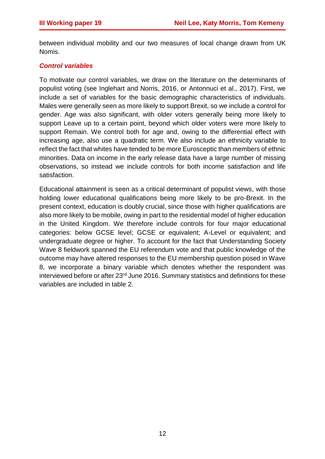between individual mobility and our two measures of local change drawn from UK Nomis.

## *Control variables*

To motivate our control variables, we draw on the literature on the determinants of populist voting (see Inglehart and Norris, 2016, or Antonnuci et al., 2017). First, we include a set of variables for the basic demographic characteristics of individuals. Males were generally seen as more likely to support Brexit, so we include a control for gender. Age was also significant, with older voters generally being more likely to support Leave up to a certain point, beyond which older voters were more likely to support Remain. We control both for age and, owing to the differential effect with increasing age, also use a quadratic term. We also include an ethnicity variable to reflect the fact that whites have tended to be more Eurosceptic than members of ethnic minorities. Data on income in the early release data have a large number of missing observations, so instead we include controls for both income satisfaction and life satisfaction.

Educational attainment is seen as a critical determinant of populist views, with those holding lower educational qualifications being more likely to be pro-Brexit. In the present context, education is doubly crucial, since those with higher qualifications are also more likely to be mobile, owing in part to the residential model of higher education in the United Kingdom. We therefore include controls for four major educational categories: below GCSE level; GCSE or equivalent; A-Level or equivalent; and undergraduate degree or higher. To account for the fact that Understanding Society Wave 8 fieldwork spanned the EU referendum vote and that public knowledge of the outcome may have altered responses to the EU membership question posed in Wave 8, we incorporate a binary variable which denotes whether the respondent was interviewed before or after 23rd June 2016. Summary statistics and definitions for these variables are included in table 2.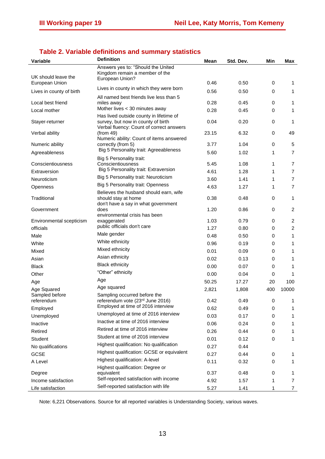| <b>Variable</b>               | <b>Definition</b>                                                                       | Mean  | Std. Dev. | Min | Max            |
|-------------------------------|-----------------------------------------------------------------------------------------|-------|-----------|-----|----------------|
| UK should leave the           | Answers yes to: "Should the United<br>Kingdom remain a member of the<br>European Union? |       |           |     |                |
| European Union                |                                                                                         | 0.46  | 0.50      | 0   | 1              |
| Lives in county of birth      | Lives in county in which they were born<br>All named best friends live less than 5      | 0.56  | 0.50      | 0   | $\mathbf{1}$   |
| Local best friend             | miles away                                                                              | 0.28  | 0.45      | 0   | $\mathbf{1}$   |
| Local mother                  | Mother lives < 30 minutes away                                                          | 0.28  | 0.45      | 0   | 1              |
| Stayer-returner               | Has lived outside county in lifetime of<br>survey, but now in county of birth           | 0.04  | 0.20      | 0   | 1              |
| Verbal ability                | Verbal fluency: Count of correct answers<br>(from 49)                                   | 23.15 | 6.32      | 0   | 49             |
| Numeric ability               | Numeric ability: Count of items answered<br>correctly (from 5)                          | 3.77  | 1.04      | 0   | 5              |
| Agreeableness                 | Big 5 Personality trait: Agreeableness                                                  | 5.60  | 1.02      | 1   | $\overline{7}$ |
| Conscientiousness             | Big 5 Personality trait:<br>Conscientiousness                                           | 5.45  | 1.08      | 1   | 7              |
| Extraversion                  | Big 5 Personality trait: Extraversion                                                   | 4.61  | 1.28      | 1   | $\overline{7}$ |
| Neuroticism                   | Big 5 Personality trait: Neuroticism                                                    | 3.60  | 1.41      | 1   | $\overline{7}$ |
| Openness                      | Big 5 Personality trait: Openness                                                       | 4.63  | 1.27      | 1   | $\overline{7}$ |
|                               | Believes the husband should earn, wife                                                  |       |           |     |                |
| Traditional                   | should stay at home<br>don't have a say in what government                              | 0.38  | 0.48      | 0   | 1              |
| Government                    | does<br>environmental crisis has been                                                   | 1.20  | 0.86      | 0   | $\overline{c}$ |
| Environmental scepticism      | exaggerated                                                                             | 1.03  | 0.79      | 0   | $\overline{c}$ |
| officials                     | public officials don't care                                                             | 1.27  | 0.80      | 0   | $\overline{c}$ |
| Male                          | Male gender                                                                             | 0.48  | 0.50      | 0   | 1              |
| White                         | White ethnicity                                                                         | 0.96  | 0.19      | 0   | 1              |
| Mixed                         | Mixed ethnicity                                                                         | 0.01  | 0.09      | 0   | 1              |
| Asian                         | Asian ethnicity                                                                         | 0.02  | 0.13      | 0   | 1              |
| <b>Black</b>                  | <b>Black ethnicity</b>                                                                  | 0.00  | 0.07      | 0   | 1              |
| Other                         | "Other" ethnicity                                                                       | 0.00  | 0.04      | 0   | 1              |
| Age                           | Age                                                                                     | 50.25 | 17.27     | 20  | 100            |
| Age Squared                   | Age squared                                                                             | 2,821 | 1,808     | 400 | 10000          |
| Sampled before<br>referendum  | Sampling occurred before the<br>referendum vote (23rd June 2016)                        | 0.42  | 0.49      | 0   |                |
| Employed                      | Employed at time of 2016 interview                                                      | 0.62  | 0.49      | 0   | 1              |
| Unemployed                    | Unemployed at time of 2016 interview                                                    | 0.03  | 0.17      | 0   | 1              |
| Inactive                      | Inactive at time of 2016 interview                                                      | 0.06  | 0.24      | 0   | 1              |
| Retired                       | Retired at time of 2016 interview                                                       | 0.26  | 0.44      | 0   | 1              |
| Student                       | Student at time of 2016 interview                                                       | 0.01  | 0.12      | 0   | 1              |
| No qualifications             | Highest qualification: No qualification                                                 | 0.27  | 0.44      |     |                |
| <b>GCSE</b>                   | Highest qualification: GCSE or equivalent                                               | 0.27  | 0.44      | 0   | 1              |
| A Level                       | Highest qualification: A-level                                                          | 0.11  | 0.32      | 0   | 1              |
|                               | Highest qualification: Degree or                                                        | 0.37  | 0.48      | 0   | 1              |
| Degree<br>Income satisfaction | equivalent<br>Self-reported satisfaction with income                                    | 4.92  | 1.57      | 1   | 7              |
| Life satisfaction             | Self-reported satisfaction with life                                                    | 5.27  | 1.41      | 1   | $\overline{7}$ |

## **Table 2. Variable definitions and summary statistics**

Note: 6,221 Observations. Source for all reported variables is Understanding Society, various waves.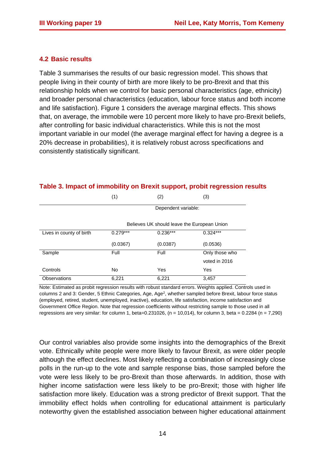## **4.2 Basic results**

Table 3 summarises the results of our basic regression model. This shows that people living in their county of birth are more likely to be pro-Brexit and that this relationship holds when we control for basic personal characteristics (age, ethnicity) and broader personal characteristics (education, labour force status and both income and life satisfaction). Figure 1 considers the average marginal effects. This shows that, on average, the immobile were 10 percent more likely to have pro-Brexit beliefs, after controlling for basic individual characteristics. While this is not the most important variable in our model (the average marginal effect for having a degree is a 20% decrease in probabilities), it is relatively robust across specifications and consistently statistically significant.

# $(1)$   $(2)$   $(3)$ Dependent variable: Believes UK should leave the European Union Lives in county of birth  $0.279***$  0.236\*\*\* 0.324\*\*\* (0.0367) (0.0387) (0.0536) Sample Full Full Full Full Only those who voted in 2016 Controls No Yes Yes

Observations 6,221 6,221 3,457

## **Table 3. Impact of immobility on Brexit support, probit regression results**

Note: Estimated as probit regression results with robust standard errors. Weights applied. Controls used in columns 2 and 3: Gender, 5 Ethnic Categories, Age, Age<sup>2</sup>, whether sampled before Brexit, labour force status (employed, retired, student, unemployed, inactive), education, life satisfaction, income satisfaction and Government Office Region. Note that regression coefficients without restricting sample to those used in all regressions are very similar: for column 1, beta=0.231026, (n = 10,014), for column 3, beta = 0.2284 (n = 7,290)

Our control variables also provide some insights into the demographics of the Brexit vote. Ethnically white people were more likely to favour Brexit, as were older people although the effect declines. Most likely reflecting a combination of increasingly close polls in the run-up to the vote and sample response bias, those sampled before the vote were less likely to be pro-Brexit than those afterwards. In addition, those with higher income satisfaction were less likely to be pro-Brexit; those with higher life satisfaction more likely. Education was a strong predictor of Brexit support. That the immobility effect holds when controlling for educational attainment is particularly noteworthy given the established association between higher educational attainment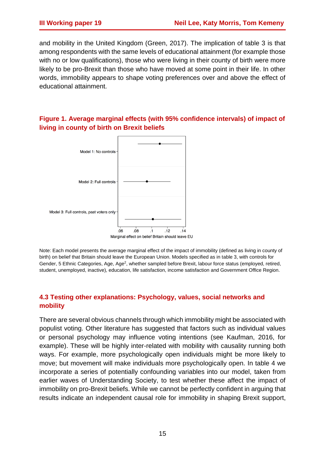and mobility in the United Kingdom (Green, 2017). The implication of table 3 is that among respondents with the same levels of educational attainment (for example those with no or low qualifications), those who were living in their county of birth were more likely to be pro-Brexit than those who have moved at some point in their life. In other words, immobility appears to shape voting preferences over and above the effect of educational attainment.

## **Figure 1. Average marginal effects (with 95% confidence intervals) of impact of living in county of birth on Brexit beliefs**



Note: Each model presents the average marginal effect of the impact of immobility (defined as living in county of birth) on belief that Britain should leave the European Union. Models specified as in table 3, with controls for Gender, 5 Ethnic Categories, Age, Age<sup>2</sup>, whether sampled before Brexit, labour force status (employed, retired, student, unemployed, inactive), education, life satisfaction, income satisfaction and Government Office Region.

## **4.3 Testing other explanations: Psychology, values, social networks and mobility**

There are several obvious channels through which immobility might be associated with populist voting. Other literature has suggested that factors such as individual values or personal psychology may influence voting intentions (see Kaufman, 2016, for example). These will be highly inter-related with mobility with causality running both ways. For example, more psychologically open individuals might be more likely to move; but movement will make individuals more psychologically open. In table 4 we incorporate a series of potentially confounding variables into our model, taken from earlier waves of Understanding Society, to test whether these affect the impact of immobility on pro-Brexit beliefs. While we cannot be perfectly confident in arguing that results indicate an independent causal role for immobility in shaping Brexit support,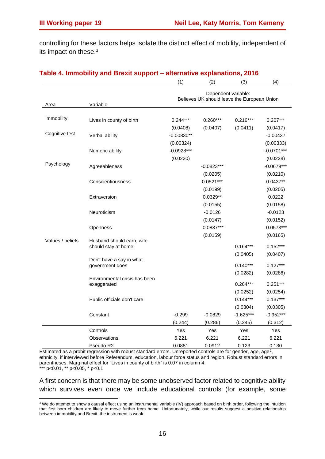$\overline{\phantom{a}}$ 

controlling for these factors helps isolate the distinct effect of mobility, independent of its impact on these. 3

|                  |                               | (1)                                                                | (2)             | (3)                     | (4)            |  |
|------------------|-------------------------------|--------------------------------------------------------------------|-----------------|-------------------------|----------------|--|
|                  |                               | Dependent variable:<br>Believes UK should leave the European Union |                 |                         |                |  |
| Area             | Variable                      |                                                                    |                 |                         |                |  |
| Immobility       | Lives in county of birth      | $0.244***$                                                         | $0.260***$      | $0.216***$              | $0.207***$     |  |
|                  |                               | (0.0408)                                                           | (0.0407)        | (0.0411)                | (0.0417)       |  |
| Cognitive test   | Verbal ability                | $-0.00830**$                                                       |                 |                         | $-0.00437$     |  |
|                  |                               | (0.00324)                                                          |                 |                         | (0.00333)      |  |
|                  | Numeric ability               | $-0.0928***$                                                       |                 |                         | $-0.0701***$   |  |
|                  |                               | (0.0220)                                                           |                 |                         | (0.0228)       |  |
| Psychology       | Agreeableness                 |                                                                    | $-0.0823***$    |                         | $-0.0679***$   |  |
|                  |                               |                                                                    | (0.0205)        |                         | (0.0210)       |  |
|                  | Conscientiousness             |                                                                    | $0.0521***$     |                         | $0.0437**$     |  |
|                  |                               |                                                                    | (0.0199)        |                         | (0.0205)       |  |
|                  | Extraversion                  |                                                                    | $0.0329**$      |                         | 0.0222         |  |
|                  |                               |                                                                    | (0.0155)        |                         | (0.0158)       |  |
|                  | Neuroticism                   |                                                                    | $-0.0126$       |                         | $-0.0123$      |  |
|                  |                               |                                                                    | (0.0147)        |                         | (0.0152)       |  |
|                  | Openness                      |                                                                    | $-0.0837***$    |                         | $-0.0573***$   |  |
|                  |                               |                                                                    | (0.0159)        |                         | (0.0165)       |  |
| Values / beliefs | Husband should earn, wife     |                                                                    |                 |                         |                |  |
|                  | should stay at home           |                                                                    |                 | $0.164***$              | $0.152***$     |  |
|                  | Don't have a say in what      |                                                                    |                 | (0.0405)                | (0.0407)       |  |
|                  | government does               |                                                                    |                 | $0.140***$              | $0.127***$     |  |
|                  |                               |                                                                    |                 | (0.0282)                | (0.0286)       |  |
|                  | Environmental crisis has been |                                                                    |                 |                         |                |  |
|                  | exaggerated                   |                                                                    |                 | $0.264***$              | $0.251***$     |  |
|                  |                               |                                                                    |                 | (0.0252)<br>$0.144***$  | (0.0254)       |  |
|                  | Public officials don't care   |                                                                    |                 |                         | $0.137***$     |  |
|                  |                               | $-0.299$                                                           | $-0.0829$       | (0.0304)<br>$-1.625***$ | (0.0305)       |  |
|                  | Constant                      |                                                                    |                 |                         | $-0.952***$    |  |
|                  |                               | (0.244)                                                            | (0.286)         | (0.245)                 | (0.312)        |  |
|                  | Controls                      | Yes                                                                | Yes             | Yes                     | Yes            |  |
|                  | Observations<br>Pseudo R2     | 6,221<br>0.0881                                                    | 6,221<br>0.0912 | 6,221<br>0.123          | 6,221<br>0.130 |  |
|                  |                               |                                                                    |                 |                         |                |  |

#### **Table 4. Immobility and Brexit support – alternative explanations, 2016**

Estimated as a probit regression with robust standard errors. Unreported controls are for gender, age, age<sup>2</sup>, ethnicity, if interviewed before Referendum, education, labour force status and region. Robust standard errors in parentheses. Marginal effect for "Lives in county of birth" is 0.07 in column 4. \*\*\* p<0.01, \*\* p<0.05, \* p<0.1

A first concern is that there may be some unobserved factor related to cognitive ability which survives even once we include educational controls (for example, some

 $3$  We do attempt to show a causal effect using an instrumental variable (IV) approach based on birth order, following the intuition that first born children are likely to move further from home. Unfortunately, while our results suggest a positive relationship between immobility and Brexit, the instrument is weak.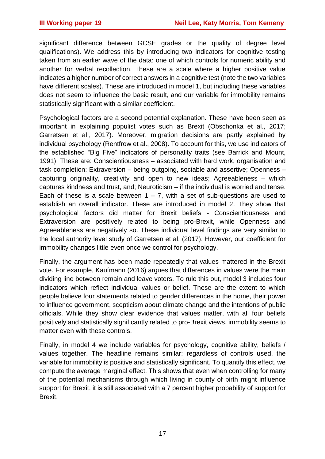significant difference between GCSE grades or the quality of degree level qualifications). We address this by introducing two indicators for cognitive testing taken from an earlier wave of the data: one of which controls for numeric ability and another for verbal recollection. These are a scale where a higher positive value indicates a higher number of correct answers in a cognitive test (note the two variables have different scales). These are introduced in model 1, but including these variables does not seem to influence the basic result, and our variable for immobility remains statistically significant with a similar coefficient.

Psychological factors are a second potential explanation. These have been seen as important in explaining populist votes such as Brexit (Obschonka et al., 2017; Garretsen et al., 2017). Moreover, migration decisions are partly explained by individual psychology (Rentfrow et al., 2008). To account for this, we use indicators of the established "Big Five" indicators of personality traits (see Barrick and Mount, 1991). These are: Conscientiousness – associated with hard work, organisation and task completion; Extraversion – being outgoing, sociable and assertive; Openness – capturing originality, creativity and open to new ideas; Agreeableness – which captures kindness and trust, and; Neuroticism – if the individual is worried and tense. Each of these is a scale between  $1 - 7$ , with a set of sub-questions are used to establish an overall indicator. These are introduced in model 2. They show that psychological factors did matter for Brexit beliefs - Conscientiousness and Extraversion are positively related to being pro-Brexit, while Openness and Agreeableness are negatively so. These individual level findings are very similar to the local authority level study of Garretsen et al. (2017). However, our coefficient for immobility changes little even once we control for psychology.

Finally, the argument has been made repeatedly that values mattered in the Brexit vote. For example, Kaufmann (2016) argues that differences in values were the main dividing line between remain and leave voters. To rule this out, model 3 includes four indicators which reflect individual values or belief. These are the extent to which people believe four statements related to gender differences in the home, their power to influence government, scepticism about climate change and the intentions of public officials. While they show clear evidence that values matter, with all four beliefs positively and statistically significantly related to pro-Brexit views, immobility seems to matter even with these controls.

Finally, in model 4 we include variables for psychology, cognitive ability, beliefs / values together. The headline remains similar: regardless of controls used, the variable for immobility is positive and statistically significant. To quantify this effect, we compute the average marginal effect. This shows that even when controlling for many of the potential mechanisms through which living in county of birth might influence support for Brexit, it is still associated with a 7 percent higher probability of support for Brexit.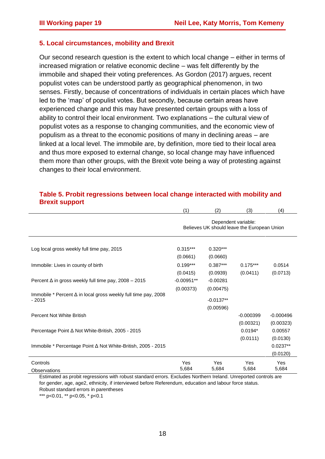#### **5. Local circumstances, mobility and Brexit**

Our second research question is the extent to which local change – either in terms of increased migration or relative economic decline – was felt differently by the immobile and shaped their voting preferences. As Gordon (2017) argues, recent populist votes can be understood partly as geographical phenomenon, in two senses. Firstly, because of concentrations of individuals in certain places which have led to the 'map' of populist votes. But secondly, because certain areas have experienced change and this may have presented certain groups with a loss of ability to control their local environment. Two explanations – the cultural view of populist votes as a response to changing communities, and the economic view of populism as a threat to the economic positions of many in declining areas – are linked at a local level. The immobile are, by definition, more tied to their local area and thus more exposed to external change, so local change may have influenced them more than other groups, with the Brexit vote being a way of protesting against changes to their local environment.

|                                                                                  | (1)                                                                | (2)                                   | (3)                                | (4)                              |
|----------------------------------------------------------------------------------|--------------------------------------------------------------------|---------------------------------------|------------------------------------|----------------------------------|
|                                                                                  | Dependent variable:<br>Believes UK should leave the European Union |                                       |                                    |                                  |
| Log local gross weekly full time pay, 2015                                       | $0.315***$<br>(0.0661)                                             | $0.320***$<br>(0.0660)                |                                    |                                  |
| Immobile: Lives in county of birth                                               | $0.199***$<br>(0.0415)                                             | $0.387***$<br>(0.0939)                | $0.175***$<br>(0.0411)             | 0.0514<br>(0.0713)               |
| Percent $\Delta$ in gross weekly full time pay, 2008 - 2015                      | $-0.00951**$                                                       | $-0.00281$                            |                                    |                                  |
| Immobile * Percent $\Delta$ in local gross weekly full time pay, 2008<br>$-2015$ | (0.00373)                                                          | (0.00475)<br>$-0.0137**$<br>(0.00596) |                                    |                                  |
| Percent Not White British                                                        |                                                                    |                                       | $-0.000399$                        | $-0.000496$                      |
| Percentage Point ∆ Not White-British, 2005 - 2015                                |                                                                    |                                       | (0.00321)<br>$0.0194*$<br>(0.0111) | (0.00323)<br>0.00557<br>(0.0130) |
| Immobile * Percentage Point Δ Not White-British, 2005 - 2015                     |                                                                    |                                       |                                    | $0.0237**$<br>(0.0120)           |
| Controls<br><b>Observations</b>                                                  | Yes<br>5,684                                                       | Yes<br>5,684                          | Yes<br>5,684                       | Yes<br>5,684                     |

#### **Table 5. Probit regressions between local change interacted with mobility and Brexit support**

Estimated as probit regressions with robust standard errors. Excludes Northern Ireland. Unreported controls are for gender, age, age2, ethnicity, if interviewed before Referendum, education and labour force status. Robust standard errors in parentheses

\*\*\* p<0.01, \*\* p<0.05, \* p<0.1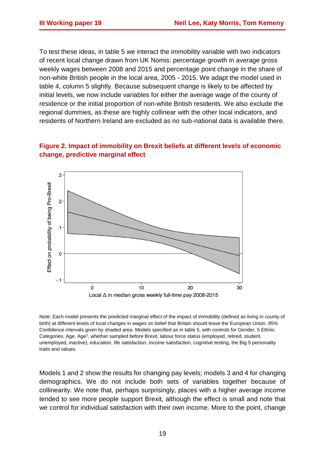To test these ideas, in table 5 we interact the immobility variable with two indicators of recent local change drawn from UK Nomis: percentage growth in average gross weekly wages between 2008 and 2015 and percentage point change in the share of non-white British people in the local area, 2005 - 2015. We adapt the model used in table 4, column 5 slightly. Because subsequent change is likely to be affected by initial levels, we now include variables for either the average wage of the county of residence or the initial proportion of non-white British residents. We also exclude the regional dummies, as these are highly collinear with the other local indicators, and residents of Northern Ireland are excluded as no sub-national data is available there.

## **Figure 2. Impact of immobility on Brexit beliefs at different levels of economic change, predictive marginal effect**



Note: Each model presents the predicted marginal effect of the impact of immobility (defined as living in county of birth) at different levels of local changes in wages on belief that Britain should leave the European Union. 95% Confidence intervals given by shaded area. Models specified as in table 5, with controls for Gender, 5 Ethnic Categories, Age, Age<sup>2</sup>, whether sampled before Brexit, labour force status (employed, retired, student, unemployed, inactive), education, life satisfaction, income satisfaction, cognitive testing, the Big 5 personality traits and values.

Models 1 and 2 show the results for changing pay levels; models 3 and 4 for changing demographics. We do not include both sets of variables together because of collinearity. We note that, perhaps surprisingly, places with a higher average income tended to see more people support Brexit, although the effect is small and note that we control for individual satisfaction with their own income. More to the point, change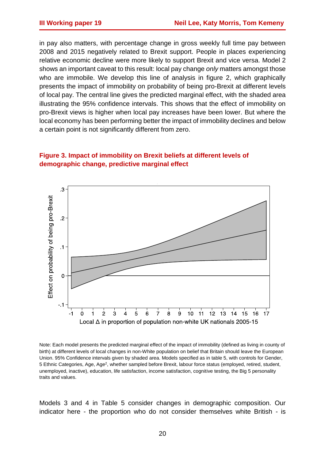in pay also matters, with percentage change in gross weekly full time pay between 2008 and 2015 negatively related to Brexit support. People in places experiencing relative economic decline were more likely to support Brexit and vice versa. Model 2 shows an important caveat to this result: local pay change *only* matters amongst those who are immobile. We develop this line of analysis in figure 2, which graphically presents the impact of immobility on probability of being pro-Brexit at different levels of local pay. The central line gives the predicted marginal effect, with the shaded area illustrating the 95% confidence intervals. This shows that the effect of immobility on pro-Brexit views is higher when local pay increases have been lower. But where the local economy has been performing better the impact of immobility declines and below a certain point is not significantly different from zero.

## **Figure 3. Impact of immobility on Brexit beliefs at different levels of demographic change, predictive marginal effect**



Note: Each model presents the predicted marginal effect of the impact of immobility (defined as living in county of birth) at different levels of local changes in non-White population on belief that Britain should leave the European Union. 95% Confidence intervals given by shaded area. Models specified as in table 5, with controls for Gender, 5 Ethnic Categories, Age, Age<sup>2</sup>, whether sampled before Brexit, labour force status (employed, retired, student, unemployed, inactive), education, life satisfaction, income satisfaction, cognitive testing, the Big 5 personality traits and values.

Models 3 and 4 in Table 5 consider changes in demographic composition. Our indicator here - the proportion who do not consider themselves white British - is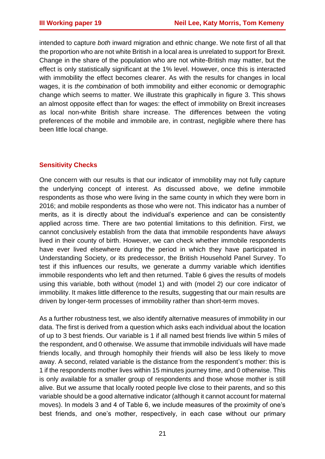intended to capture *both* inward migration and ethnic change. We note first of all that the proportion who are not white British in a local area is unrelated to support for Brexit. Change in the share of the population who are not white-British may matter, but the effect is only statistically significant at the 1% level. However, once this is interacted with immobility the effect becomes clearer. As with the results for changes in local wages, it is *the combination* of both immobility and either economic or demographic change which seems to matter. We illustrate this graphically in figure 3. This shows an almost opposite effect than for wages: the effect of immobility on Brexit increases as local non-white British share increase. The differences between the voting preferences of the mobile and immobile are, in contrast, negligible where there has been little local change.

## **Sensitivity Checks**

One concern with our results is that our indicator of immobility may not fully capture the underlying concept of interest. As discussed above, we define immobile respondents as those who were living in the same county in which they were born in 2016; and mobile respondents as those who were not. This indicator has a number of merits, as it is directly about the individual's experience and can be consistently applied across time. There are two potential limitations to this definition. First, we cannot conclusively establish from the data that immobile respondents have *always* lived in their county of birth. However, we can check whether immobile respondents have ever lived elsewhere during the period in which they have participated in Understanding Society, or its predecessor, the British Household Panel Survey. To test if this influences our results, we generate a dummy variable which identifies immobile respondents who left and then returned. Table 6 gives the results of models using this variable, both without (model 1) and with (model 2) our core indicator of immobility. It makes little difference to the results, suggesting that our main results are driven by longer-term processes of immobility rather than short-term moves.

As a further robustness test, we also identify alternative measures of immobility in our data. The first is derived from a question which asks each individual about the location of up to 3 best friends. Our variable is 1 if all named best friends live within 5 miles of the respondent, and 0 otherwise. We assume that immobile individuals will have made friends locally, and through homophily their friends will also be less likely to move away. A second, related variable is the distance from the respondent's mother: this is 1 if the respondents mother lives within 15 minutes journey time, and 0 otherwise. This is only available for a smaller group of respondents and those whose mother is still alive. But we assume that locally rooted people live close to their parents, and so this variable should be a good alternative indicator (although it cannot account for maternal moves). In models 3 and 4 of Table 6, we include measures of the proximity of one's best friends, and one's mother, respectively, in each case without our primary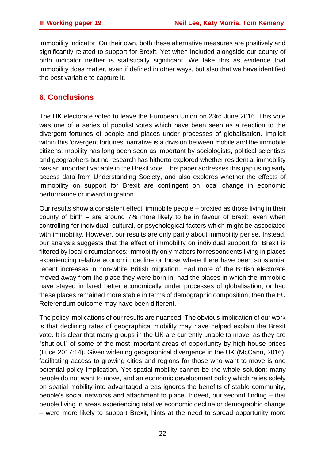immobility indicator. On their own, both these alternative measures are positively and significantly related to support for Brexit. Yet when included alongside our county of birth indicator neither is statistically significant. We take this as evidence that immobility does matter, even if defined in other ways, but also that we have identified the best variable to capture it.

## **6. Conclusions**

The UK electorate voted to leave the European Union on 23rd June 2016. This vote was one of a series of populist votes which have been seen as a reaction to the divergent fortunes of people and places under processes of globalisation. Implicit within this 'divergent fortunes' narrative is a division between mobile and the immobile citizens: mobility has long been seen as important by sociologists, political scientists and geographers but no research has hitherto explored whether residential immobility was an important variable in the Brexit vote. This paper addresses this gap using early access data from Understanding Society, and also explores whether the effects of immobility on support for Brexit are contingent on local change in economic performance or inward migration.

Our results show a consistent effect: immobile people – proxied as those living in their county of birth – are around 7% more likely to be in favour of Brexit, even when controlling for individual, cultural, or psychological factors which might be associated with immobility. However, our results are only partly about immobility per se. Instead, our analysis suggests that the effect of immobility on individual support for Brexit is filtered by local circumstances: immobility only matters for respondents living in places experiencing relative economic decline or those where there have been substantial recent increases in non-white British migration. Had more of the British electorate moved away from the place they were born in; had the places in which the immobile have stayed in fared better economically under processes of globalisation; or had these places remained more stable in terms of demographic composition, then the EU Referendum outcome may have been different.

The policy implications of our results are nuanced. The obvious implication of our work is that declining rates of geographical mobility may have helped explain the Brexit vote. It is clear that many groups in the UK are currently unable to move, as they are "shut out" of some of the most important areas of opportunity by high house prices (Luce 2017:14). Given widening geographical divergence in the UK (McCann, 2016), facilitating access to growing cities and regions for those who want to move is one potential policy implication. Yet spatial mobility cannot be the whole solution: many people do not want to move, and an economic development policy which relies solely on spatial mobility into advantaged areas ignores the benefits of stable community, people's social networks and attachment to place. Indeed, our second finding – that people living in areas experiencing relative economic decline or demographic change – were more likely to support Brexit, hints at the need to spread opportunity more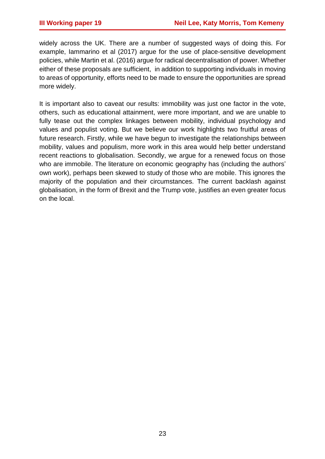widely across the UK. There are a number of suggested ways of doing this. For example, Iammarino et al (2017) argue for the use of place-sensitive development policies, while Martin et al. (2016) argue for radical decentralisation of power. Whether either of these proposals are sufficient, in addition to supporting individuals in moving to areas of opportunity, efforts need to be made to ensure the opportunities are spread more widely.

It is important also to caveat our results: immobility was just one factor in the vote, others, such as educational attainment, were more important, and we are unable to fully tease out the complex linkages between mobility, individual psychology and values and populist voting. But we believe our work highlights two fruitful areas of future research. Firstly, while we have begun to investigate the relationships between mobility, values and populism, more work in this area would help better understand recent reactions to globalisation. Secondly, we argue for a renewed focus on those who are immobile. The literature on economic geography has (including the authors' own work), perhaps been skewed to study of those who are mobile. This ignores the majority of the population and their circumstances. The current backlash against globalisation, in the form of Brexit and the Trump vote, justifies an even greater focus on the local.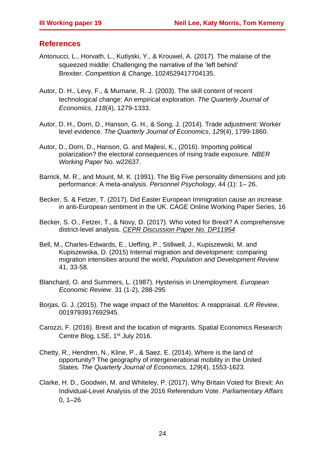## **References**

- Antonucci, L., Horvath, L., Kutiyski, Y., & Krouwel, A. (2017). The malaise of the squeezed middle: Challenging the narrative of the 'left behind' Brexiter. *Competition & Change*, 1024529417704135.
- Autor, D. H., Levy, F., & Murnane, R. J. (2003). The skill content of recent technological change: An empirical exploration. *The Quarterly Journal of Economics*, *118*(4), 1279-1333.
- Autor, D. H., Dorn, D., Hanson, G. H., & Song, J. (2014). Trade adjustment: Worker level evidence. *The Quarterly Journal of Economics*, *129*(4), 1799-1860.
- Autor, D., Dorn, D., Hanson, G. and Majlesi, K., (2016). Importing political polarization? the electoral consequences of rising trade exposure. *NBER Working Paper* No. w22637.
- Barrick, M. R., and Mount, M. K. (1991). The Big Five personality dimensions and job performance: A meta-analysis. *Personnel Psychology*, 44 (1): 1– 26.
- Becker, S. & Fetzer, T. (2017). Did Easter European Immigration cause an increase in anti-European sentiment in the UK. CAGE Online Working Paper Series, 16
- Becker, S. O., Fetzer, T., & Novy, D. (2017). Who voted for Brexit? A comprehensive district-level analysis. *[CEPR Discussion Paper No. DP11954](https://papers.ssrn.com/Sol3/papers.cfm?abstract_id=2949802##)*
- Bell, M., Charles-Edwards, E., Ueffing, P., Stillwell, J., Kupiszewski, M. and Kupiszewska, D. (2015) Internal migration and development: comparing migration intensities around the world, *Population and Development Review* 41, 33-58.
- Blanchard, O. and Summers, L. (1987). Hysterisis in Unemployment. *European Economic Review*. 31 (1-2), 288-295
- Borjas, G. J. (2015). The wage impact of the Marielitos: A reappraisal. *ILR Review*, 0019793917692945.
- Carozzi, F. (2016). Brexit and the location of migrants. Spatial Economics Research Centre Blog, LSE, 1<sup>st</sup> July 2016.
- Chetty, R., Hendren, N., Kline, P., & Saez, E. (2014). Where is the land of opportunity? The geography of intergenerational mobility in the United States. *The Quarterly Journal of Economics*, *129*(4), 1553-1623.
- Clarke, H. D., Goodwin, M. and Whiteley, P. (2017). Why Britain Voted for Brexit: An Individual-Level Analysis of the 2016 Referendum Vote. *Parliamentary Affairs* 0, 1–26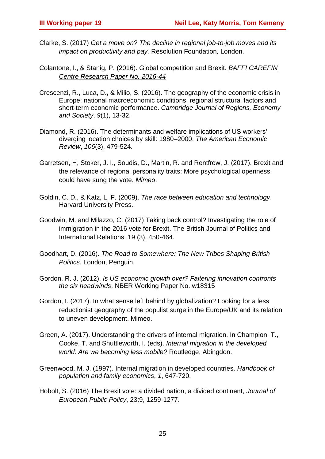- Clarke, S. (2017) *Get a move on? The decline in regional job-to-job moves and its impact on productivity and pay.* Resolution Foundation*,* London.
- Colantone, I., & Stanig, P. (2016). Global competition and Brexit. *[BAFFI CAREFIN](https://papers.ssrn.com/sol3/papers.cfm?abstract_id=2870313##)  [Centre Research Paper No. 2016-44](https://papers.ssrn.com/sol3/papers.cfm?abstract_id=2870313##)*
- Crescenzi, R., Luca, D., & Milio, S. (2016). The geography of the economic crisis in Europe: national macroeconomic conditions, regional structural factors and short-term economic performance. *Cambridge Journal of Regions, Economy and Society*, *9*(1), 13-32.
- Diamond, R. (2016). The determinants and welfare implications of US workers' diverging location choices by skill: 1980–2000. *The American Economic Review*, *106*(3), 479-524.
- Garretsen, H, Stoker, J. I., Soudis, D., Martin, R. and Rentfrow, J. (2017). Brexit and the relevance of regional personality traits: More psychological openness could have sung the vote. *Mimeo*.
- Goldin, C. D., & Katz, L. F. (2009). *The race between education and technology*. Harvard University Press.
- Goodwin, M. and Milazzo, C. (2017) Taking back control? Investigating the role of immigration in the 2016 vote for Brexit. The British Journal of Politics and International Relations. 19 (3), 450-464.
- Goodhart, D. (2016). *The Road to Somewhere: The New Tribes Shaping British Politics*. London, Penguin.
- Gordon, R. J. (2012). *Is US economic growth over? Faltering innovation confronts the six headwinds*. NBER Working Paper No. w18315
- Gordon, I. (2017). In what sense left behind by globalization? Looking for a less reductionist geography of the populist surge in the Europe/UK and its relation to uneven development. Mimeo.
- Green, A. (2017). Understanding the drivers of internal migration. In Champion, T., Cooke, T. and Shuttleworth, I. (eds). *Internal migration in the developed world: Are we becoming less mobile?* Routledge, Abingdon.
- Greenwood, M. J. (1997). Internal migration in developed countries. *Handbook of population and family economics*, *1*, 647-720.
- Hobolt, S. (2016) The Brexit vote: a divided nation, a divided continent, *Journal of European Public Policy*, 23:9, 1259-1277.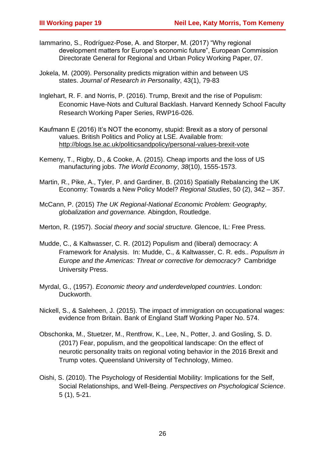- Iammarino, S., Rodríguez-Pose, A. and Storper, M. (2017) "Why regional development matters for Europe's economic future", European Commission Directorate General for Regional and Urban Policy Working Paper, 07.
- Jokela, M. (2009). Personality predicts migration within and between US states. *Journal of Research in Personality*, 43(1), 79-83
- Inglehart, R. F. and Norris, P. (2016). Trump, Brexit and the rise of Populism: Economic Have-Nots and Cultural Backlash. Harvard Kennedy School Faculty Research Working Paper Series, RWP16-026.
- Kaufmann E (2016) It's NOT the economy, stupid: Brexit as a story of personal values. British Politics and Policy at LSE. Available from: <http://blogs.lse.ac.uk/politicsandpolicy/personal-values-brexit-vote>
- Kemeny, T., Rigby, D., & Cooke, A. (2015). Cheap imports and the loss of US manufacturing jobs. *The World Economy*, *38*(10), 1555-1573.
- Martin, R., Pike, A., Tyler, P. and Gardiner, B. (2016) Spatially Rebalancing the UK Economy: Towards a New Policy Model? *Regional Studies*, 50 (2), 342 – 357.
- McCann, P. (2015) *The UK Regional-National Economic Problem: Geography, globalization and governance.* Abingdon, Routledge.
- Merton, R. (1957). *Social theory and social structure.* Glencoe, IL: Free Press.
- Mudde, C., & Kaltwasser, C. R. (2012) Populism and (liberal) democracy: A Framework for Analysis. In: Mudde, C., & Kaltwasser, C. R. eds.. *Populism in Europe and the Americas: Threat or corrective for democracy?* Cambridge University Press.
- Myrdal, G., (1957). *Economic theory and underdeveloped countries*. London: Duckworth.
- Nickell, S., & Saleheen, J. (2015). The impact of immigration on occupational wages: evidence from Britain. Bank of England Staff Working Paper No. 574.
- Obschonka, M., Stuetzer, M., Rentfrow, K., Lee, N., Potter, J. and Gosling, S. D. (2017) Fear, populism, and the geopolitical landscape: On the effect of neurotic personality traits on regional voting behavior in the 2016 Brexit and Trump votes. Queensland University of Technology, Mimeo.
- Oishi, S. (2010). The Psychology of Residential Mobility: Implications for the Self, Social Relationships, and Well-Being. *Perspectives on Psychological Science*. 5 (1), 5-21.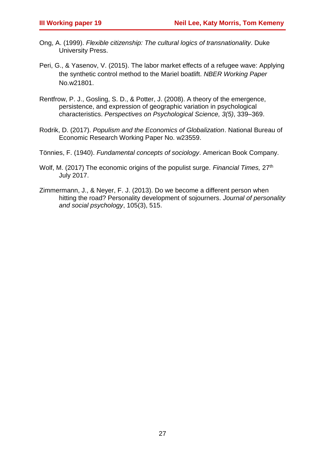- Ong, A. (1999). *Flexible citizenship: The cultural logics of transnationality*. Duke University Press.
- Peri, G., & Yasenov, V. (2015). The labor market effects of a refugee wave: Applying the synthetic control method to the Mariel boatlift. *NBER Working Paper*  No.w21801.
- Rentfrow, P. J., Gosling, S. D., & Potter, J. (2008). A theory of the emergence, persistence, and expression of geographic variation in psychological characteristics. *Perspectives on Psychological Science, 3(5)*, 339–369.
- Rodrik, D. (2017). *Populism and the Economics of Globalization*. National Bureau of Economic Research Working Paper No. w23559.
- Tönnies, F. (1940). *Fundamental concepts of sociology*. American Book Company.
- Wolf, M. (2017) The economic origins of the populist surge. *Financial Times,* 27th July 2017.
- Zimmermann, J., & Neyer, F. J. (2013). Do we become a different person when hitting the road? Personality development of sojourners. *Journal of personality and social psychology*, 105(3), 515.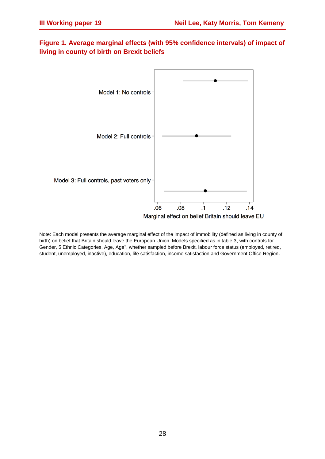## **Figure 1. Average marginal effects (with 95% confidence intervals) of impact of living in county of birth on Brexit beliefs**



Note: Each model presents the average marginal effect of the impact of immobility (defined as living in county of birth) on belief that Britain should leave the European Union. Models specified as in table 3, with controls for Gender, 5 Ethnic Categories, Age, Age<sup>2</sup>, whether sampled before Brexit, labour force status (employed, retired, student, unemployed, inactive), education, life satisfaction, income satisfaction and Government Office Region.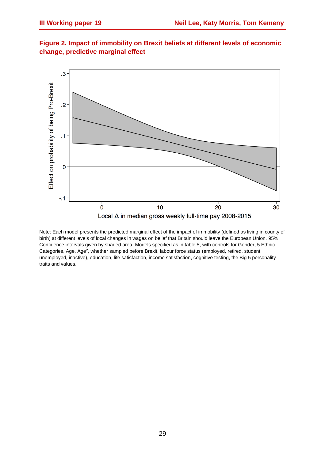

**Figure 2. Impact of immobility on Brexit beliefs at different levels of economic change, predictive marginal effect**

Note: Each model presents the predicted marginal effect of the impact of immobility (defined as living in county of birth) at different levels of local changes in wages on belief that Britain should leave the European Union. 95% Confidence intervals given by shaded area. Models specified as in table 5, with controls for Gender, 5 Ethnic Categories, Age, Age<sup>2</sup>, whether sampled before Brexit, labour force status (employed, retired, student, unemployed, inactive), education, life satisfaction, income satisfaction, cognitive testing, the Big 5 personality traits and values.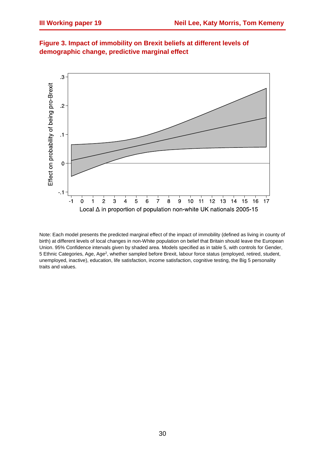

**Figure 3. Impact of immobility on Brexit beliefs at different levels of demographic change, predictive marginal effect**

Note: Each model presents the predicted marginal effect of the impact of immobility (defined as living in county of birth) at different levels of local changes in non-White population on belief that Britain should leave the European Union. 95% Confidence intervals given by shaded area. Models specified as in table 5, with controls for Gender, 5 Ethnic Categories, Age, Age<sup>2</sup>, whether sampled before Brexit, labour force status (employed, retired, student, unemployed, inactive), education, life satisfaction, income satisfaction, cognitive testing, the Big 5 personality traits and values.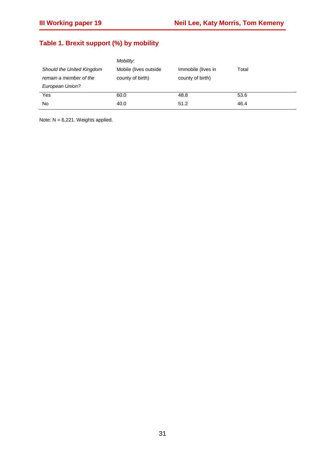# **Table 1. Brexit support (%) by mobility**

|                           | Mobility:              |                    |       |
|---------------------------|------------------------|--------------------|-------|
| Should the United Kingdom | Mobile (lives outside) | Immobile (lives in | Total |
| remain a member of the    | county of birth)       | county of birth)   |       |
| European Union?           |                        |                    |       |
| Yes                       | 60.0                   | 48.8               | 53.6  |
| No                        | 40.0                   | 51.2               | 46.4  |
|                           |                        |                    |       |

Note: N = 6,221. Weights applied.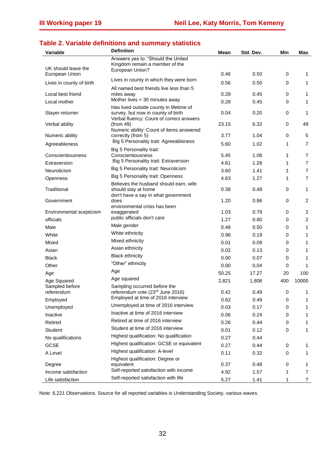## **Table 2. Variable definitions and summary statistics**

| <b>Variable</b>               | <b>Definition</b>                                                                                                         | Mean  | Std. Dev. | Min         | Max            |
|-------------------------------|---------------------------------------------------------------------------------------------------------------------------|-------|-----------|-------------|----------------|
| UK should leave the           | Answers yes to: "Should the United<br>Kingdom remain a member of the<br>European Union?                                   |       |           |             |                |
| European Union                | Lives in county in which they were born                                                                                   | 0.46  | 0.50      | 0           | 1              |
| Lives in county of birth      |                                                                                                                           | 0.56  | 0.50      | $\mathbf 0$ | 1              |
| Local best friend             | All named best friends live less than 5<br>miles away                                                                     | 0.28  | 0.45      | 0           | 1              |
| Local mother                  | Mother lives < 30 minutes away                                                                                            | 0.28  | 0.45      | 0           | $\mathbf{1}$   |
| Stayer-returner               | Has lived outside county in lifetime of<br>survey, but now in county of birth<br>Verbal fluency: Count of correct answers | 0.04  | 0.20      | 0           | 1              |
| Verbal ability                | (from 49)<br>Numeric ability: Count of items answered                                                                     | 23.15 | 6.32      | 0           | 49             |
| Numeric ability               | correctly (from 5)                                                                                                        | 3.77  | 1.04      | 0           | 5              |
| Agreeableness                 | Big 5 Personality trait: Agreeableness                                                                                    | 5.60  | 1.02      | 1           | $\overline{7}$ |
| Conscientiousness             | Big 5 Personality trait:<br>Conscientiousness                                                                             | 5.45  | 1.08      | 1           | 7              |
| Extraversion                  | Big 5 Personality trait: Extraversion                                                                                     | 4.61  | 1.28      | 1           | $\overline{7}$ |
| Neuroticism                   | Big 5 Personality trait: Neuroticism                                                                                      | 3.60  | 1.41      | 1           | $\overline{7}$ |
| Openness                      | Big 5 Personality trait: Openness                                                                                         | 4.63  | 1.27      | 1           | $\overline{7}$ |
|                               | Believes the husband should earn, wife                                                                                    |       |           |             |                |
| Traditional                   | should stay at home<br>don't have a say in what government                                                                | 0.38  | 0.48      | 0           | $\mathbf{1}$   |
| Government                    | does<br>environmental crisis has been                                                                                     | 1.20  | 0.86      | 0           | $\overline{c}$ |
| Environmental scepticism      | exaggerated                                                                                                               | 1.03  | 0.79      | 0           | $\overline{c}$ |
| officials                     | public officials don't care                                                                                               | 1.27  | 0.80      | 0           | $\overline{c}$ |
| Male                          | Male gender                                                                                                               | 0.48  | 0.50      | 0           | 1              |
| White                         | White ethnicity                                                                                                           | 0.96  | 0.19      | 0           | 1              |
| Mixed                         | Mixed ethnicity                                                                                                           | 0.01  | 0.09      | 0           | 1              |
| Asian                         | Asian ethnicity                                                                                                           | 0.02  | 0.13      | 0           | 1              |
| <b>Black</b>                  | <b>Black ethnicity</b>                                                                                                    | 0.00  | 0.07      | 0           | 1              |
| Other                         | "Other" ethnicity                                                                                                         | 0.00  | 0.04      | 0           | 1              |
| Age                           | Age                                                                                                                       | 50.25 | 17.27     | 20          | 100            |
| Age Squared                   | Age squared                                                                                                               | 2,821 | 1,808     | 400         | 10000          |
| Sampled before<br>referendum  | Sampling occurred before the<br>referendum vote (23rd June 2016)                                                          | 0.42  | 0.49      | 0           |                |
| Employed                      | Employed at time of 2016 interview                                                                                        | 0.62  | 0.49      | 0           | 1              |
| Unemployed                    | Unemployed at time of 2016 interview                                                                                      | 0.03  | 0.17      | 0           | 1              |
| Inactive                      | Inactive at time of 2016 interview                                                                                        | 0.06  | 0.24      | 0           | 1              |
| Retired                       | Retired at time of 2016 interview                                                                                         | 0.26  | 0.44      | 0           | 1              |
| Student                       | Student at time of 2016 interview                                                                                         | 0.01  | 0.12      | 0           | 1              |
| No qualifications             | Highest qualification: No qualification                                                                                   | 0.27  | 0.44      |             |                |
| <b>GCSE</b>                   | Highest qualification: GCSE or equivalent                                                                                 | 0.27  | 0.44      | 0           | 1              |
| A Level                       | Highest qualification: A-level                                                                                            | 0.11  | 0.32      | 0           | 1              |
|                               | Highest qualification: Degree or                                                                                          | 0.37  | 0.48      | 0           | 1              |
| Degree<br>Income satisfaction | equivalent<br>Self-reported satisfaction with income                                                                      | 4.92  | 1.57      | 1           | 7              |
| Life satisfaction             | Self-reported satisfaction with life                                                                                      | 5.27  | 1.41      | 1           | $\overline{7}$ |

Note: 6,221 Observations. Source for all reported variables is Understanding Society, various waves.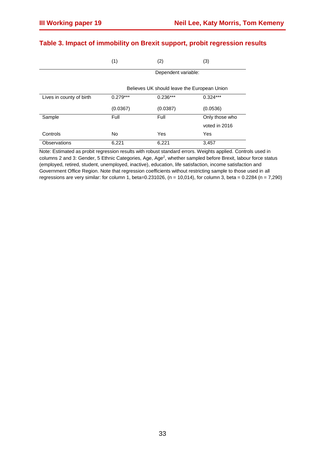|                          | (1)        | (2)                                         | (3)            |
|--------------------------|------------|---------------------------------------------|----------------|
|                          |            | Dependent variable:                         |                |
|                          |            | Believes UK should leave the European Union |                |
| Lives in county of birth | $0.279***$ | $0.236***$                                  | $0.324***$     |
|                          | (0.0367)   | (0.0387)                                    | (0.0536)       |
| Sample                   | Full       | Full                                        | Only those who |
|                          |            |                                             | voted in 2016  |
| Controls                 | <b>No</b>  | Yes                                         | Yes            |
| <b>Observations</b>      | 6,221      | 6,221                                       | 3,457          |

## **Table 3. Impact of immobility on Brexit support, probit regression results**

Note: Estimated as probit regression results with robust standard errors. Weights applied. Controls used in columns 2 and 3: Gender, 5 Ethnic Categories, Age, Age<sup>2</sup>, whether sampled before Brexit, labour force status (employed, retired, student, unemployed, inactive), education, life satisfaction, income satisfaction and Government Office Region. Note that regression coefficients without restricting sample to those used in all regressions are very similar: for column 1, beta=0.231026, (n = 10,014), for column 3, beta = 0.2284 (n = 7,290)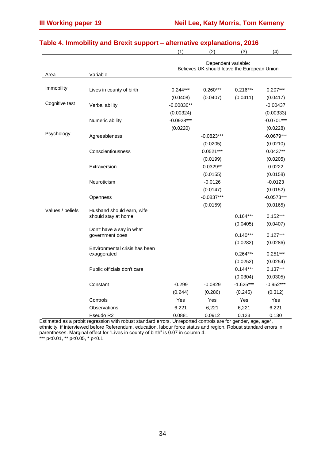|                  |                                                  | (1)                                                                | (2)          | (3)         | (4)          |  |
|------------------|--------------------------------------------------|--------------------------------------------------------------------|--------------|-------------|--------------|--|
| Area             | Variable                                         | Dependent variable:<br>Believes UK should leave the European Union |              |             |              |  |
|                  |                                                  |                                                                    |              |             |              |  |
| Immobility       | Lives in county of birth                         | $0.244***$                                                         | $0.260***$   | $0.216***$  | $0.207***$   |  |
|                  |                                                  | (0.0408)                                                           | (0.0407)     | (0.0411)    | (0.0417)     |  |
| Cognitive test   | Verbal ability                                   | $-0.00830**$                                                       |              |             | $-0.00437$   |  |
|                  |                                                  | (0.00324)                                                          |              |             | (0.00333)    |  |
|                  | Numeric ability                                  | $-0.0928***$                                                       |              |             | $-0.0701***$ |  |
|                  |                                                  | (0.0220)                                                           |              |             | (0.0228)     |  |
| Psychology       | Agreeableness                                    |                                                                    | $-0.0823***$ |             | $-0.0679***$ |  |
|                  |                                                  |                                                                    | (0.0205)     |             | (0.0210)     |  |
|                  | Conscientiousness                                |                                                                    | $0.0521***$  |             | $0.0437**$   |  |
|                  |                                                  |                                                                    | (0.0199)     |             | (0.0205)     |  |
|                  | Extraversion                                     |                                                                    | $0.0329**$   |             | 0.0222       |  |
|                  |                                                  |                                                                    | (0.0155)     |             | (0.0158)     |  |
|                  | Neuroticism                                      |                                                                    | $-0.0126$    |             | $-0.0123$    |  |
|                  |                                                  |                                                                    | (0.0147)     |             | (0.0152)     |  |
|                  | Openness                                         |                                                                    | $-0.0837***$ |             | $-0.0573***$ |  |
|                  |                                                  |                                                                    | (0.0159)     |             | (0.0165)     |  |
| Values / beliefs | Husband should earn, wife<br>should stay at home |                                                                    |              | $0.164***$  | $0.152***$   |  |
|                  |                                                  |                                                                    |              | (0.0405)    | (0.0407)     |  |
|                  | Don't have a say in what                         |                                                                    |              |             |              |  |
|                  | government does                                  |                                                                    |              | $0.140***$  | $0.127***$   |  |
|                  |                                                  |                                                                    |              | (0.0282)    | (0.0286)     |  |
|                  | Environmental crisis has been<br>exaggerated     |                                                                    |              | $0.264***$  | $0.251***$   |  |
|                  |                                                  |                                                                    |              | (0.0252)    | (0.0254)     |  |
|                  | Public officials don't care                      |                                                                    |              | $0.144***$  | $0.137***$   |  |
|                  |                                                  |                                                                    |              | (0.0304)    | (0.0305)     |  |
|                  | Constant                                         | $-0.299$                                                           | $-0.0829$    | $-1.625***$ | $-0.952***$  |  |
|                  |                                                  | (0.244)                                                            | (0.286)      | (0.245)     | (0.312)      |  |
|                  | Controls                                         | Yes                                                                | <b>Yes</b>   | Yes         | Yes          |  |
|                  | Observations                                     | 6,221                                                              | 6,221        | 6,221       | 6,221        |  |
|                  | Pseudo R2                                        | 0.0881                                                             | 0.0912       | 0.123       | 0.130        |  |

## **Table 4. Immobility and Brexit support – alternative explanations, 2016**

Estimated as a probit regression with robust standard errors. Unreported controls are for gender, age, age<sup>2</sup>, ethnicity, if interviewed before Referendum, education, labour force status and region. Robust standard errors in parentheses. Marginal effect for "Lives in county of birth" is 0.07 in column 4. \*\*\* p<0.01, \*\* p<0.05, \* p<0.1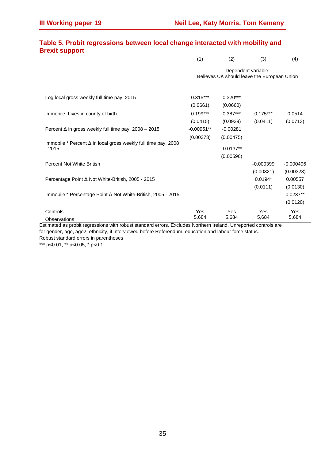| . .                                                                   | (1)                                                                | (2)         | (3)         | (4)         |
|-----------------------------------------------------------------------|--------------------------------------------------------------------|-------------|-------------|-------------|
|                                                                       | Dependent variable:<br>Believes UK should leave the European Union |             |             |             |
| Log local gross weekly full time pay, 2015                            | $0.315***$                                                         | $0.320***$  |             |             |
|                                                                       | (0.0661)                                                           | (0.0660)    |             |             |
| Immobile: Lives in county of birth                                    | $0.199***$                                                         | $0.387***$  | $0.175***$  | 0.0514      |
|                                                                       | (0.0415)                                                           | (0.0939)    | (0.0411)    | (0.0713)    |
| Percent $\Delta$ in gross weekly full time pay, 2008 - 2015           | $-0.00951**$                                                       | $-0.00281$  |             |             |
| Immobile * Percent $\Delta$ in local gross weekly full time pay, 2008 | (0.00373)                                                          | (0.00475)   |             |             |
| $-2015$                                                               |                                                                    | $-0.0137**$ |             |             |
|                                                                       |                                                                    | (0.00596)   |             |             |
| Percent Not White British                                             |                                                                    |             | $-0.000399$ | $-0.000496$ |
|                                                                       |                                                                    |             | (0.00321)   | (0.00323)   |
| Percentage Point ∆ Not White-British, 2005 - 2015                     |                                                                    |             | $0.0194*$   | 0.00557     |
|                                                                       |                                                                    |             | (0.0111)    | (0.0130)    |
| Immobile * Percentage Point $\Delta$ Not White-British, 2005 - 2015   |                                                                    |             |             | $0.0237**$  |
|                                                                       |                                                                    |             |             | (0.0120)    |
| Controls                                                              | Yes                                                                | Yes         | Yes         | Yes         |
| Observations                                                          | 5,684                                                              | 5,684       | 5,684       | 5,684       |

#### **Table 5. Probit regressions between local change interacted with mobility and Brexit support**

Estimated as probit regressions with robust standard errors. Excludes Northern Ireland. Unreported controls are for gender, age, age2, ethnicity, if interviewed before Referendum, education and labour force status. Robust standard errors in parentheses

\*\*\* p<0.01, \*\* p<0.05, \* p<0.1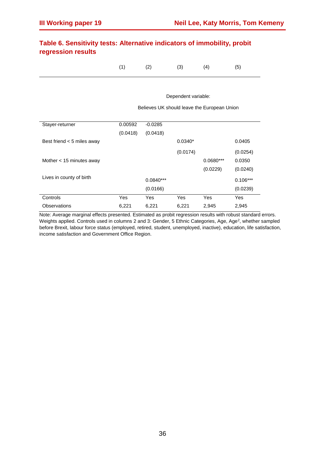|                    | Table 6. Sensitivity tests: Alternative indicators of immobility, probit |  |
|--------------------|--------------------------------------------------------------------------|--|
| regression results |                                                                          |  |

(1)  $(2)$   $(3)$   $(4)$   $(5)$ 

Dependent variable: Believes UK should leave the European Union

Stayer-returner 0.00592 -0.0285 (0.0418) (0.0418) Best friend < 5 miles away 0.0340\* 0.0340\* 0.0405 (0.0174) (0.0254) Mother < 15 minutes away 0.0680\*\*\* 0.0350 (0.0229) (0.0240) Lives in county of birth  $0.0840***$  0.0840<sup>\*\*\*</sup> 0.106<sup>\*\*\*</sup> 0.106<sup>\*\*\*</sup> (0.0166) (0.0239) Controls Yes Yes Yes Yes Yes Observations 6,221 6,221 6,221 2,945 2,945

Note: Average marginal effects presented. Estimated as probit regression results with robust standard errors. Weights applied. Controls used in columns 2 and 3: Gender, 5 Ethnic Categories, Age, Age<sup>2</sup>, whether sampled before Brexit, labour force status (employed, retired, student, unemployed, inactive), education, life satisfaction, income satisfaction and Government Office Region.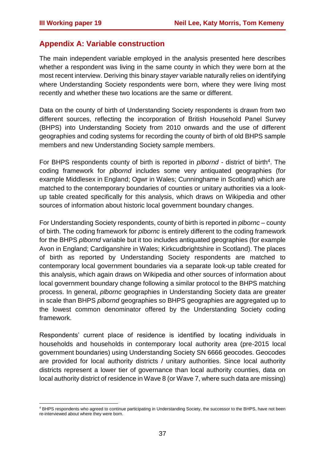## **Appendix A: Variable construction**

The main independent variable employed in the analysis presented here describes whether a respondent was living in the same county in which they were born at the most recent interview. Deriving this binary *stayer* variable naturally relies on identifying where Understanding Society respondents were born, where they were living most recently and whether these two locations are the same or different.

Data on the county of birth of Understanding Society respondents is drawn from two different sources, reflecting the incorporation of British Household Panel Survey (BHPS) into Understanding Society from 2010 onwards and the use of different geographies and coding systems for recording the county of birth of old BHPS sample members and new Understanding Society sample members.

For BHPS respondents county of birth is reported in *plbornd -* district of birth<sup>4</sup>. The coding framework for *plbornd* includes some very antiquated geographies (for example Middlesex in England; Ogwr in Wales; Cunninghame in Scotland) which are matched to the contemporary boundaries of counties or unitary authorities via a lookup table created specifically for this analysis, which draws on Wikipedia and other sources of information about historic local government boundary changes.

For Understanding Society respondents, county of birth is reported in *plbornc* – county of birth. The coding framework for *plbornc* is entirely different to the coding framework for the BHPS *plbornd* variable but it too includes antiquated geographies (for example Avon in England; Cardiganshire in Wales; Kirkcudbrightshire in Scotland). The places of birth as reported by Understanding Society respondents are matched to contemporary local government boundaries via a separate look-up table created for this analysis, which again draws on Wikipedia and other sources of information about local government boundary change following a similar protocol to the BHPS matching process. In general, *plbornc* geographies in Understanding Society data are greater in scale than BHPS *plbornd* geographies so BHPS geographies are aggregated up to the lowest common denominator offered by the Understanding Society coding framework.

Respondents' current place of residence is identified by locating individuals in households and households in contemporary local authority area (pre-2015 local government boundaries) using Understanding Society SN 6666 geocodes. Geocodes are provided for local authority districts / unitary authorities. Since local authority districts represent a lower tier of governance than local authority counties, data on local authority district of residence in Wave 8 (or Wave 7, where such data are missing)

 $\overline{a}$ <sup>4</sup> BHPS respondents who agreed to continue participating in Understanding Society, the successor to the BHPS, have not been re-interviewed about where they were born.